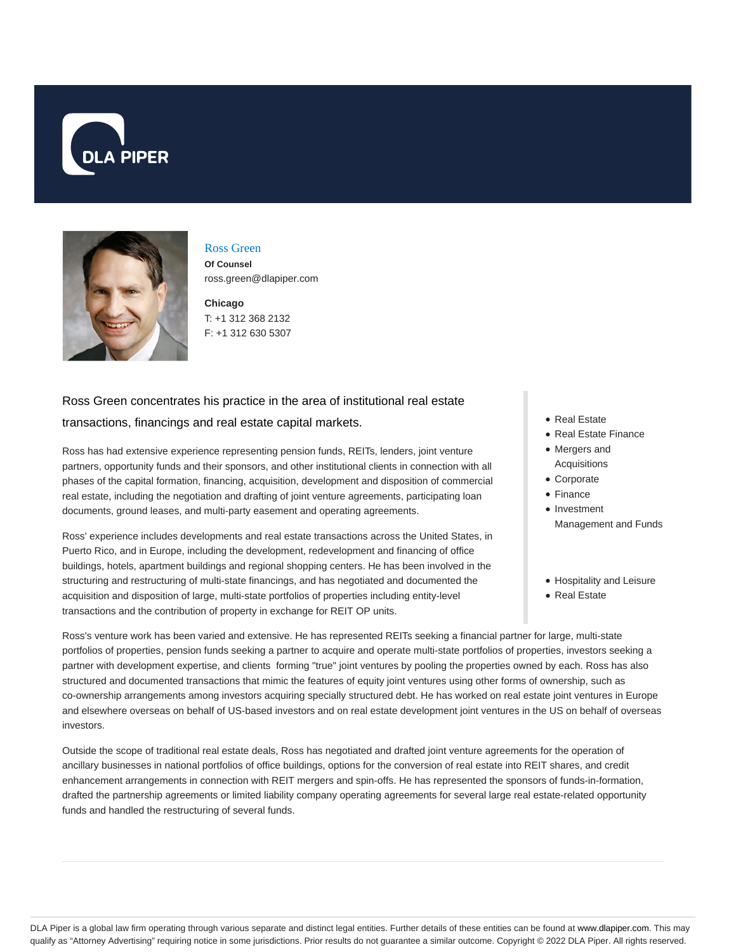



#### Ross Green

**Of Counsel** ross.green@dlapiper.com

**Chicago** T: +1 312 368 2132 F: +1 312 630 5307

# Ross Green concentrates his practice in the area of institutional real estate transactions, financings and real estate capital markets.

Ross has had extensive experience representing pension funds, REITs, lenders, joint venture partners, opportunity funds and their sponsors, and other institutional clients in connection with all phases of the capital formation, financing, acquisition, development and disposition of commercial real estate, including the negotiation and drafting of joint venture agreements, participating loan documents, ground leases, and multi-party easement and operating agreements.

Ross' experience includes developments and real estate transactions across the United States, in Puerto Rico, and in Europe, including the development, redevelopment and financing of office buildings, hotels, apartment buildings and regional shopping centers. He has been involved in the structuring and restructuring of multi-state financings, and has negotiated and documented the acquisition and disposition of large, multi-state portfolios of properties including entity-level transactions and the contribution of property in exchange for REIT OP units.

- Real Estate
- Real Estate Finance
- Mergers and Acquisitions
- Corporate
- Finance
- Investment Management and Funds
- Hospitality and Leisure
- Real Estate

Ross's venture work has been varied and extensive. He has represented REITs seeking a financial partner for large, multi-state portfolios of properties, pension funds seeking a partner to acquire and operate multi-state portfolios of properties, investors seeking a partner with development expertise, and clients forming "true" joint ventures by pooling the properties owned by each. Ross has also structured and documented transactions that mimic the features of equity joint ventures using other forms of ownership, such as co-ownership arrangements among investors acquiring specially structured debt. He has worked on real estate joint ventures in Europe and elsewhere overseas on behalf of US-based investors and on real estate development joint ventures in the US on behalf of overseas investors.

Outside the scope of traditional real estate deals, Ross has negotiated and drafted joint venture agreements for the operation of ancillary businesses in national portfolios of office buildings, options for the conversion of real estate into REIT shares, and credit enhancement arrangements in connection with REIT mergers and spin-offs. He has represented the sponsors of funds-in-formation, drafted the partnership agreements or limited liability company operating agreements for several large real estate-related opportunity funds and handled the restructuring of several funds.

DLA Piper is a global law firm operating through various separate and distinct legal entities. Further details of these entities can be found at www.dlapiper.com. This may qualify as "Attorney Advertising" requiring notice in some jurisdictions. Prior results do not guarantee a similar outcome. Copyright @ 2022 DLA Piper. All rights reserved.